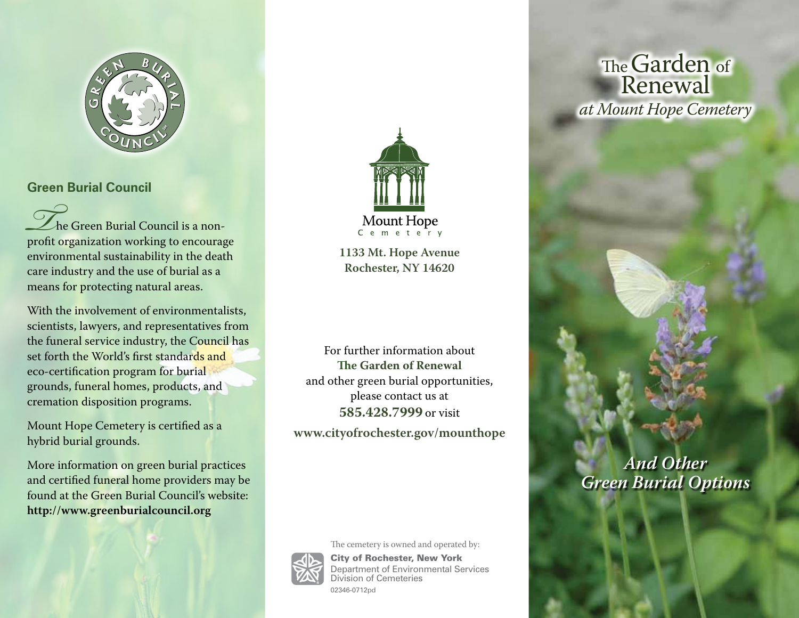

## **Green Burial Council**

The Green Burial Council is a non-<br>profit organization working to encourage environmental sustainability in the death care industry and the use of burial as a means for protecting natural areas.

With the involvement of environmentalists, scientists, lawyers, and representatives from the funeral service industry, the Council has set forth the World's first standards and eco-certification program for burial grounds, funeral homes, products, and cremation disposition programs.

Mount Hope Cemetery is certified as a hybrid burial grounds.

More information on green burial practices and certified funeral home providers may be found at the Green Burial Council's website: **http://www.greenburialcouncil.org**



**1133 Mt. Hope Avenue Rochester, NY 14620**

For further information about **The Garden of Renewal** and other green burial opportunities, please contact us at **585.428.7999** or visit **www.cityofrochester.gov/mounthope**



02346-0712pd

The cemetery is owned and operated by: City of Rochester, New York Department of Environmental Services Division of Cemeteries

The Garden of Renewal *at Mount Hope Cemetery*

# *And Other Green Burial Options*